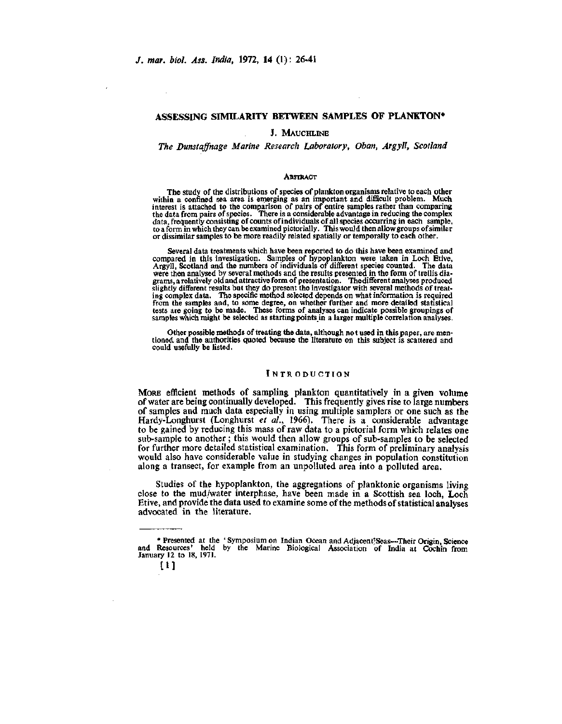# **ASSESSING SIMILARITY BETWEEN SAMPLES OF PLANKTON\***

# J. MAUCHLINE

# *The Dunstajfnage Marine Research Laboratory, Oban, Argyll, Scotland*

#### **ABSTRACT**

The study of the distributions of species of plankton organisms relative to each other within a confined sea area is emerging as an important and difficult problem. Much interest is attached to the comparison of pairs of entire samples rather than comparing the data from pairs of species. There is a considerable advantage in reducing the complex data, frequently consisting of counts of individuals of all species occurring in each sample, to a form in which they can be examined pictorially. This would then allow groups of similar or dissimilar samples to be more readily related spatially or temporally to each other.

Several data treatments which have been reported to do this have been examined and compared in this investigation. Samples of hypoplankton were taken in Loch Etive, Argyll, Scotland and the numbers of individuals of different species counted. The data were then analysed by several methods and the results tests are going to be made. These forms of analyses can indicate possible groupings of samples which might be selected as starting pointsin a larger multiple correlation analyses.

Other possible methods of treating the data, although not used in this paper, are mentioned and the authorities quoted because the literature on this subject is scattered and could usefully be listed.

# INTRODUCTION

MORE efficient methods of sampling plankton quantitatively in a given volume of water are being continually developed. This frequently gives rise to large numbers of samples and much data especially in using multiple samplers or one such as the Hardy-Longhurst (Longhurst *et al.,* 1966). There is a considerable advantage to be gained by reducing this mass of raw data to a pictorial form which relates one sub-sample to another ; this would then allow groups of sub-samples to be selected for further more detailed statistical examination. This form of preliminary analysis would also have considerable value in studying changes in population constitution along a transect, for example from an unpolluted area into a polluted area.

Studies of the hypoplankton, the aggregations of planktonic organisms living close to the mud/water interphase, have been made in a Scottish sea loch, Loch Etive, and provide the data used to examine some of the methods of statistical analyses advocated in the literature.

<sup>\*</sup> Presented at the ' Symposium on Indian Ocean and Adjacent'Seas—Their Origin, Science and Resources' held by the Marine Biological Association of India at Cochin from January 12 to 18, 1971.

<sup>[1]</sup>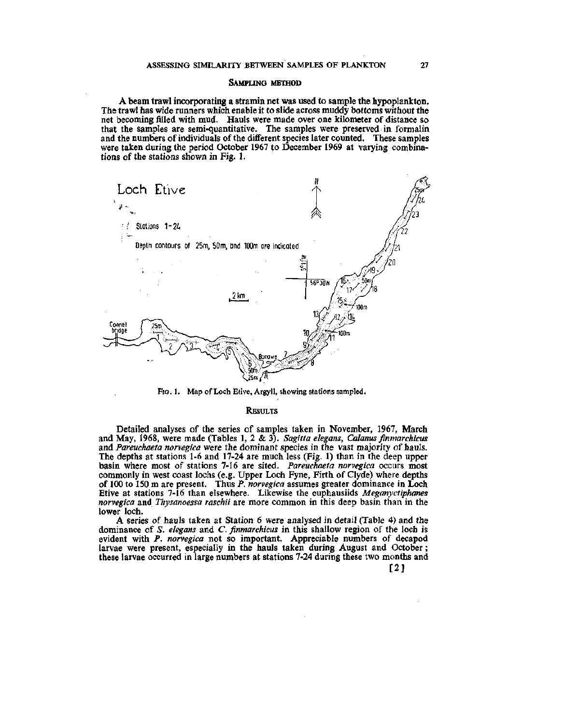#### SAMPLING METHOD

A beam trawl incorporating a stramin net was used to sample the hypoplankton. The trawl has wide runners which enable it to slide across muddy bottoms without the net becoming filled with mud. Hauls were made over one kilometer of distance so that the samples are semi-quantitative. The samples were preserved in formalin and the numbers of individuals of the different species later counted. These samples were taken during the period October 1967 to December 1969 at varying combinations of the stations shown in Fig. 1.



FIG. I. Map of Loch Etive, Argyll, showing stations sampled.

#### RESULTS

Detailed analyses of the series of samples taken in November, 1967, March and May, 1968, were made (Tables 1, 2 & 3). *Sagitta elegans, Calanus finmarchicus*  and *Pareuchaeta norvegica* were the dominant species in the vast majority of hauls. The depths at stations 1-6 and 17-24 are much less (Fig. 1) than in the deep upper basin where most of stations 7-16 are sited. *Pareuchaeta norvegica* occurs most commonly in west coast lochs (e.g. Upper Loch Fyne, Firth of Clyde) where depths of 100 to 150 m are present. Thus *P. norvegica* assumes greater dominance in Loch Etive at stations 7-16 than elsewhere. Likewise the euphausiids *Meganyctiphanes norvegica* and *Thysanoessa raschii* are more common in this deep basin than in the lower loch.

A series of hauls taken at Station 6 were analysed in detail (Table 4) and the dominance of *S. elegans* and C. *finmarchicus* in this shallow region of the loch is evident with *P. norvegica* not so important. Appreciable numbers of decapod larvae were present, especially in the hauls taken during August and October; these larvae occurred in large numbers at stations 7-24 during these two months and

[2]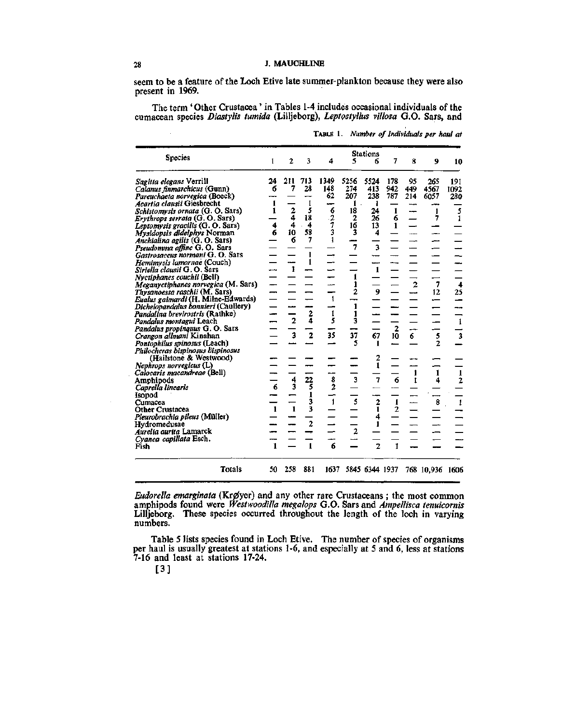seem to be a feature of the Loch Etive late summer plankton because they were also present in 1969.

The term 'Other Crustacea' in Tables 1-4 includes occasional individuals of the cumacean species Diastylis tumida (Lilljeborg), Leptostyllus villosa G.O. Sars, and

| <b>Species</b>                                                      | 1              | 2              | 3                       | 4                  | 5                        | <b>Stations</b><br>6 | 7              | 8                 | 9               | 10                   |
|---------------------------------------------------------------------|----------------|----------------|-------------------------|--------------------|--------------------------|----------------------|----------------|-------------------|-----------------|----------------------|
|                                                                     | 24             | 211            | 713                     | 1349               | 5256                     | 5524                 | 178            | 95                | 265             | 191                  |
| Sagitta elegans Verrill                                             | 6              | 7              | 28                      | 148                | 274                      | 413                  | 942            | 449               | 4567            | 1092                 |
| Calanus finmarchicus (Gunn)                                         |                |                |                         | 62                 | 207                      | 238                  | 787            | 214               | 6057            | 280                  |
| Pareuchaeta norvegica (Boeck)<br>Acartia clausii Giesbrecht         | 1              |                | 1                       |                    | 1                        |                      |                |                   |                 |                      |
| <i>Schistomysis ornata</i> (G. O. Sars)                             | 1              |                | 5                       | ÷<br>6             | 18                       | ı<br>24              | 1              | بيب               | 1               | 5                    |
| Erythrops serrata (G. O. Sars)                                      |                | $\frac{2}{4}$  | 18                      |                    | 2                        | 26                   | 6              | --                | 7               | $\mathbf{1}$         |
| Leptomysis gracilis (G. O. Sars)                                    | 4              | 4              | 4                       | $\frac{2}{7}$      | 16                       | 13                   | 1              |                   |                 |                      |
| Mysidopsis didelphys Norman                                         | 6              | 10             | 58                      |                    | 3                        | 4                    |                |                   | -               |                      |
|                                                                     |                | 6              | 7                       | 1                  |                          |                      |                |                   | ---             |                      |
| Anchialina agilis (G. O. Sars)                                      |                |                |                         |                    | $\overline{7}$           | 3                    |                |                   |                 |                      |
| <i>Pseudomma affine</i> G.O. Sars                                   |                |                | 1                       |                    |                          |                      |                |                   |                 |                      |
| Gastrosaccus normani G. O. Sars<br>Hemimysis lamornae (Couch)       |                |                | 1                       |                    |                          |                      |                |                   |                 |                      |
| Siriella clausii G. O. Sars                                         |                | 1              |                         |                    |                          | $\mathbf{1}$         |                |                   |                 |                      |
| Nyctiphanes couchii (Bell)                                          |                |                |                         |                    | $\mathbf{1}$             |                      |                |                   |                 |                      |
| Meganyctiphanes norvegica (M. Sars)                                 |                |                |                         |                    | 1                        |                      |                | $\overline{2}$    | 7               | $\ddot{\phantom{0}}$ |
|                                                                     |                |                |                         |                    | 2                        | $\overline{9}$       |                |                   | 12              |                      |
| Thysanoessa raschii (M. Sars)<br>Eualus gaimardi (H. Milne-Edwards) |                |                |                         | $\mathbf{1}$       | --                       |                      |                |                   |                 | 25                   |
|                                                                     |                |                |                         |                    | 1                        |                      |                |                   |                 |                      |
| Dichelopandalus bonnieri (Caullery)                                 |                |                |                         | $\pmb{\mathrm{1}}$ | 1                        |                      |                |                   |                 |                      |
| Pandalina brevirostris (Rathke)                                     |                | $\overline{2}$ | $\frac{2}{4}$           | 5                  | 3                        |                      |                |                   |                 | $\mathbf{1}$         |
| Pandalus montagui Leach                                             |                |                |                         |                    |                          |                      |                |                   |                 |                      |
| Pandalus propinguus G. O. Sars                                      |                | 3              | $\overline{\mathbf{2}}$ | 35                 | 37                       | 67                   | $\frac{2}{10}$ | 6                 | 5               | 3                    |
| Crangon allmani Kinahan                                             |                |                |                         |                    | 5                        | 1                    |                |                   | 2               |                      |
| Pontophilus spinosus (Leach)                                        |                |                |                         |                    |                          |                      |                |                   |                 |                      |
| Philocheras bispinosus bispinosus                                   |                |                |                         |                    |                          |                      |                |                   |                 |                      |
| (Hailstone & Westwood)                                              |                |                |                         |                    |                          | $\frac{2}{1}$        |                |                   |                 |                      |
| Nephrops norvegicus (L)                                             |                |                |                         | --                 |                          |                      |                |                   | $\mathbf{1}$    |                      |
| Calocaris macandreae (Bell)                                         |                | 4              |                         | --                 | $\overline{\mathbf{3}}$  | 7                    | 6              | $\mathbf{1}$<br>1 |                 | $\frac{1}{2}$        |
| Amphipods                                                           | $\overline{6}$ | $\mathbf{3}$   | $\frac{22}{5}$          | $\frac{8}{2}$      |                          |                      |                |                   | 4               |                      |
| Caprella linearis                                                   |                |                | 1                       |                    |                          |                      |                |                   |                 |                      |
| Isopod                                                              |                |                | 3                       | $\overline{1}$     | $\overline{\phantom{s}}$ |                      | $\mathbf{I}$   | —<br>—            | ---<br>8        | $\mathbf{1}$         |
| Cumacea<br>Other Crustacea                                          | $\mathbf{1}$   | $\mathbf{1}$   | 3                       |                    |                          | $\frac{2}{1}$        | $\overline{2}$ |                   |                 |                      |
|                                                                     |                |                |                         |                    |                          | 4                    |                |                   |                 |                      |
| Pleurobrachia pileus (Müller)                                       |                |                | $\overline{c}$          |                    |                          |                      |                |                   |                 |                      |
| Hydromedusae                                                        |                |                |                         |                    | $\overline{a}$           |                      |                |                   |                 |                      |
| Aurelia aurita Lamarck                                              |                |                |                         |                    |                          |                      |                |                   |                 |                      |
| Cyanea capillata Esch.                                              | $\mathbf{1}$   |                | $\mathbf{1}$            | ÷<br>6             |                          | $\overline{2}$       | $\mathbf{I}$   |                   |                 |                      |
| Fish                                                                |                |                |                         |                    |                          |                      |                |                   |                 |                      |
| Totals                                                              | 50             | 258            | 881                     | 1637               |                          | 5845 6344 1937       |                |                   | 768 10,936 1606 |                      |

TABLE 1. *Number of Individuals per haul at* 

*Eudorella emarginata* (Krøyer) and any other rare Crustaceans; the most common amphipods found were *Westwoodilla megalops* G.O. Sars and *Ampellisca tenuicornis*  Lilljeborg. These species occurred throughout the length of the loch in varying numbers.

Table 5 lists species found in Loch Etive. The number of species of organisms per haul is usually greatest at stations 1-6, and especially at 5 and 6, less at stations 7-16 and least at stations 17-24.

[ 3 ]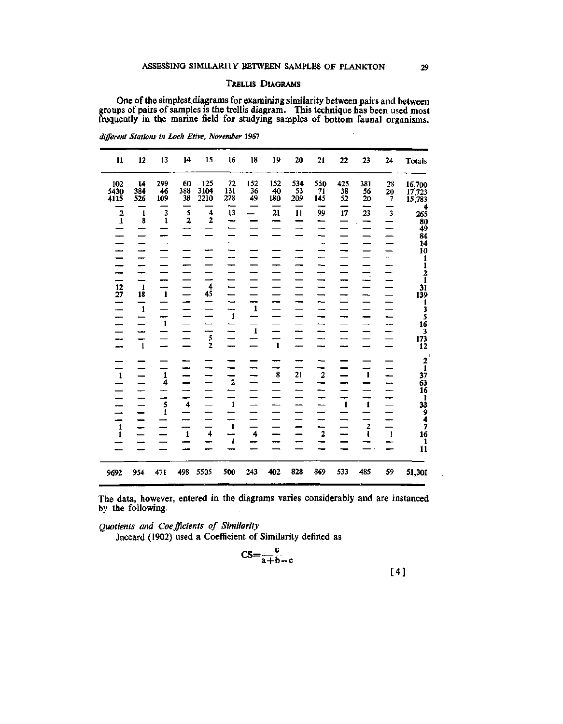# TRELLIS DIAGRAMS

One of the simplest.diagrams for examining similarity between pairs and between groups of pairs of samples is the trellis diagram. This technique has been used most frequently in the marine field for studying samples of bottom faunal organisms.

| Totals                                                                                          | 24                         | 23                            | 22                                                                     | 21                   | 20               | 19                   | 18                       | 16                                                                                    | 15                                        | 14                        | 13                      | 12                                 | $\mathbf{11}$                                      |
|-------------------------------------------------------------------------------------------------|----------------------------|-------------------------------|------------------------------------------------------------------------|----------------------|------------------|----------------------|--------------------------|---------------------------------------------------------------------------------------|-------------------------------------------|---------------------------|-------------------------|------------------------------------|----------------------------------------------------|
| 16,700<br>17,723<br>15,783                                                                      | 28<br>20<br>$\overline{7}$ | 381<br>56<br>20<br>—          | $\frac{425}{38}$<br>52                                                 | 550<br>71<br>145     | 534<br>53<br>209 | 152<br>40<br>180     | 152<br>36<br>49          | 72<br>ЕÏ<br>278                                                                       | 125<br>3104<br>2210                       | 60<br>$388$<br>$38$       | 299<br>46<br>109        | 14<br>384<br>526                   | $\frac{102}{5430}$<br>4115                         |
| $265$<br>$80$<br>$49$<br>$84$<br>$14$                                                           | $\mathbf 3$<br>━           | 23<br>–                       | $\frac{1}{17}$<br>$\overline{\phantom{0}}$<br>$\overline{\phantom{0}}$ | 99<br>——<br>--       | $\overline{11}$  | $\overline{21}$<br>– | $\overline{\phantom{0}}$ | $\overline{13}$<br>---                                                                | $\overline{\mathbf{4}}$<br>$\overline{2}$ | $\frac{1}{2}$             | 3<br>$\mathbf{I}$<br>-- | $\mathbf{1}$<br>8                  | $\overline{\mathbf{2}}$<br>$\overline{\mathbf{1}}$ |
|                                                                                                 |                            |                               | ÷,                                                                     | –∽<br>--<br>–−<br>÷  | ⊷<br>-<br>-      |                      |                          | -<br>--<br>---<br>--                                                                  |                                           | -<br>--<br>----           |                         | ---<br>---                         |                                                    |
| 10 1 1 2 1 31 39 1 3 5 16 3 173 12                                                              | —                          | $\overline{\phantom{a}}$<br>- | ---<br>--<br>ىب                                                        | --<br>--<br>--<br>-- | --               | --                   | -<br>$\mathbf{1}$        | -<br>$\overline{\phantom{0}}$<br>$\overline{\phantom{0}}$<br>$\overline{\phantom{a}}$ | —<br>$\frac{4}{45}$                       | –                         | --<br>$\mathbf{1}$      | $\mathbf{1}$<br>18<br>$\mathbf{1}$ | $\frac{12}{27}$<br>÷                               |
|                                                                                                 | <u></u><br>---             | -                             | --<br>                                                                 | --<br>--             | ---<br>--        | --<br>$\mathbf{1}$   | $\mathbf{1}$             | $\mathbf{1}$<br>---<br>-                                                              | -<br><br>$\frac{5}{2}$                    | —<br>-                    | ---<br>$\mathbf{1}$     | --<br>--<br>$\mathbf{1}$           | --                                                 |
|                                                                                                 |                            | $\mathbf{1}$                  |                                                                        | $\overline{2}$       | $\frac{1}{21}$   | $\bf8$               |                          | --<br>$\overline{2}$                                                                  | --                                        | ست<br>--                  | $\frac{1}{4}$           | -                                  | $\mathbf{1}$                                       |
|                                                                                                 | --<br>÷                    | $\mathbf{I}$                  | --<br>-<br>$\mathbf{1}$                                                | <u>.</u>             |                  |                      |                          | $\overline{1}$                                                                        |                                           | —<br>$\ddot{\phantom{1}}$ | 5<br>$\mathbf{1}$       | -                                  |                                                    |
| $2\frac{1}{37}$ $3\frac{1}{63}$ $16\frac{1}{33}$ $9\frac{4}{7}$ $7\frac{1}{11}$ $1\frac{1}{11}$ | -<br>$\,$ 1                | $\frac{2}{1}$                 | —<br>—                                                                 | --<br>$\mathbf 2$    |                  | ---                  | $\ddot{\bf 4}$           | $\overline{\phantom{0}}$<br>$\,$ 1 $\,$<br>--<br>$\mathbf{1}$                         | $\overline{\mathbf{4}}$                   | --<br>$\mathbf{1}$        |                         | -<br>--                            | $\frac{1}{1}$                                      |
| 51,301                                                                                          | 59                         | 485                           | 533                                                                    | 869                  | 828              | 402                  | 243                      | 500                                                                                   | 5505                                      | 498                       | 471                     | 954                                | 9692                                               |

*different Stations in Loch Etive, November* 1967

The data, however, entered in the diagrams varies considerably and are instanced by the following.

*Quotients and Coefficients of Similarity* 

Ĭ.

Jaccard (1902) used a Coefficient of Similarity defined as

$$
CS = \frac{c}{a+b-c}
$$
 [4]

 $\mathbf{r}$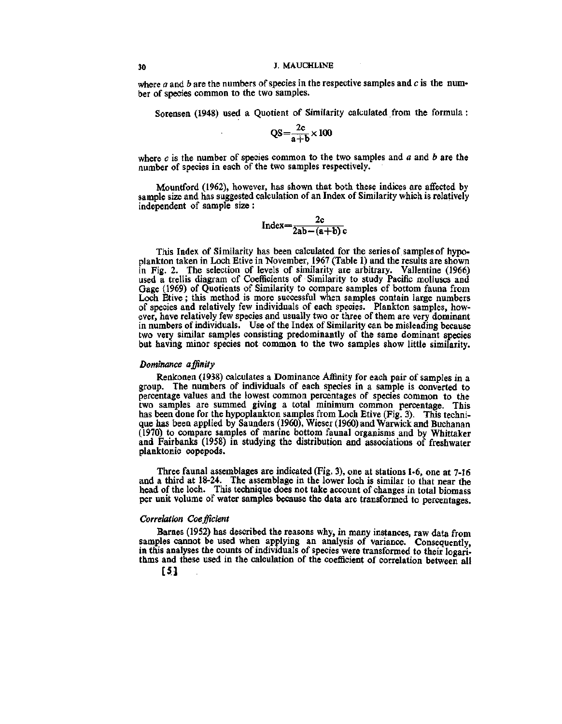where *a* and *b* are the numbers of species in the respective samples and *c* is the number of species common to the two samples.

Sorensen (1948) used a Quotient of Similarity calculated from the formula:

$$
QS = \frac{2c}{a+b} \times 100
$$

where *c* is the number of species common to the two samples and *a* and *b* are the number of species in each of the two samples respectively.

Mountford (1962), however, has shown that both these indices are affected by sample size and has suggested calculation of an Index of Similarity which is relatively independent of sample size :

$$
Index = \frac{2c}{2ab - (a+b)c}
$$

This Index of Similarity has been calculated for the series of samples of hypoplankton taken in Loch Etive in November, 1967 (Table 1) and the results are shown in Fig. 2. The selection of levels of similarity are arbitrary. Vallentine (1966) used a trellis diagram of Coefficients of Similarity to study Pacific molluscs and Gage (1969) of Quotients of Similarity to compare samples of bottom fauna from Loch Etive; this method is more successful when samples contain large numbers of species and relatively few individuals of each species. Plankton samples, however, have relatively few species and usually two or three of them are very dominant in numbers of individuals. Use of the Index of Similarity can be misleading because two very similar samples consisting predominantly of the same dominant species but having minor species not common to the two samples show little similarity.

## *Dominance affinity*

Renkonen (1938) calculates a Dominance Affinity for each pair of samples in a group. The numbers of individuals of each species in a sample is converted to percentage values and the lowest common percentages of species common to the two samples are summed giving a total minimum common percentage. This has been done for the hypoplankton samples from Loch Etive (Fig. 3). This technique has been applied by Saunders (I960), Wieser (1960) and Warwick and Buchanan (1970) to compare samples of marine bottom faunal organisms and by Whittaker and Fairbanks (1958) in studying the distribution and associations of freshwater planktonic copepods.

Three faunal assemblages are indicated (Fig. 3), one at stations 1-6, one at 7-16 and a third at 18-24. The assemblage in the lower loch is similar to that near the head of the loch. This technique does not take account of changes in total biomass per unit volume of water samples because the data are transformed to percentages.

#### *Correlation Coefficient*

Barnes (1952) has described the reasons why, in many instances, raw data from samples cannot be used when applying an analysis of variance. Consequently, in this analyses the counts of individuals of species were transformed to their logarithms and these used in the calculation of the coefficient of correlation between all

[51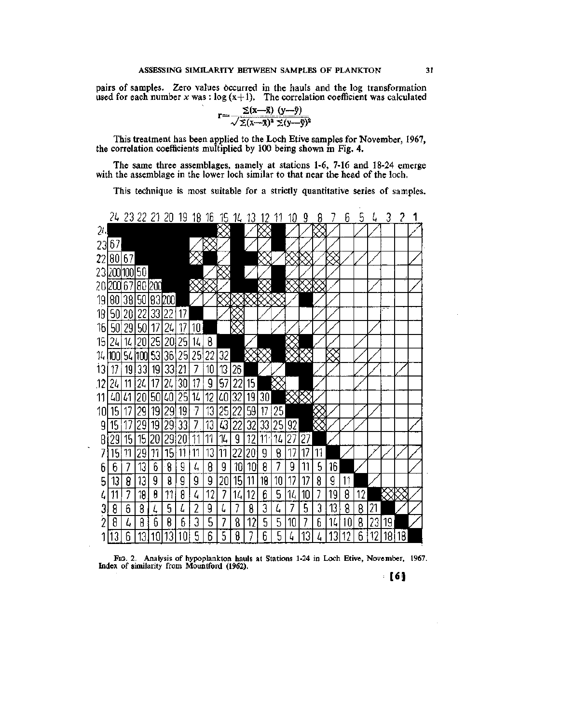pairs of samples. Zero values occurred in the hauls and the log transformation used for each number  $x$  was :  $\log(x+1)$ . The correlation coefficient was calculated

$$
r = \frac{\sum(x-\bar{x}) (y-\bar{y})}{\sqrt{\sum(x-\bar{x})^2 (\bar{x}-\bar{y})^2}}
$$

This treatment has been applied to the Loch Etive samples for November, 1967, the correlation coefficients multiplied by 100 being shown in Fig. 4.

The same three assemblages, namely at stations 1-6, 7-16 and 18-24 emerge with the assemblage in the lower loch similar to that near the head of the loch.

This technique is most suitable for a strictly quantitative series of samples.



*Via. 2.* Analysis of hypoplankton hauls at Stations 1-24 in Loch Etive, November, 1967. Index of similarity from Mountford (1962).

[61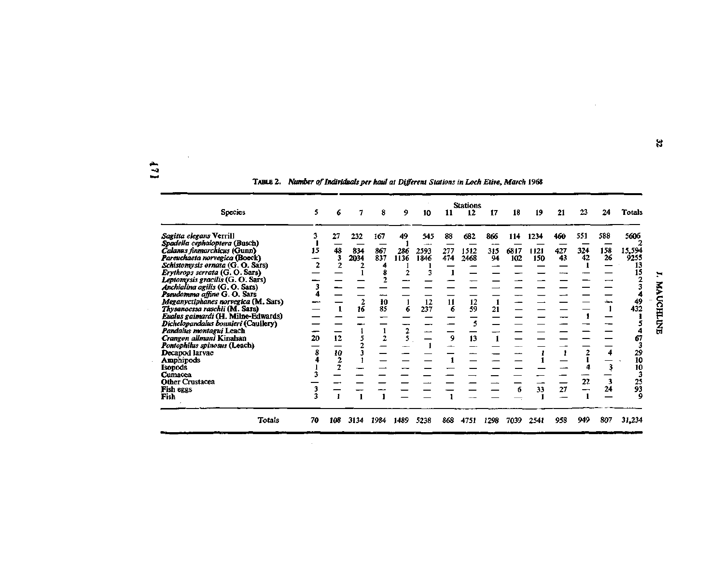$\mathbf{L}$ 

 $\sim$   $\sim$ 

 $\sim 10^7$ 

 $\sim$ 

TABLE 2. *NimAer of Individuals per haul at Different Stations in Loch Etive, March* 1968

| <b>Species</b>                                                                                                                                                                                                                                                                                                                                                                                                                                                                                                                                                                                                                                          | 5.                      | 6                                          |                          | 8                                            | 9                      | 10                               | 11                               | <b>Stations</b><br>12                 | 17                     | 18                 | 19                        | 21                     | 23                     | 24                               | <b>Totals</b>                                                                                        |                       |
|---------------------------------------------------------------------------------------------------------------------------------------------------------------------------------------------------------------------------------------------------------------------------------------------------------------------------------------------------------------------------------------------------------------------------------------------------------------------------------------------------------------------------------------------------------------------------------------------------------------------------------------------------------|-------------------------|--------------------------------------------|--------------------------|----------------------------------------------|------------------------|----------------------------------|----------------------------------|---------------------------------------|------------------------|--------------------|---------------------------|------------------------|------------------------|----------------------------------|------------------------------------------------------------------------------------------------------|-----------------------|
| Sagitta elegans Verrill<br>Spadella cephaloptera (Busch)<br>Calanus finmarchicus (Gunn)<br>Pareuchaeta norvegica (Boeck)<br>Schistomysis ornata (G. O. Sars)<br>Erythrops serrata (G.O. Sars)<br>Leptomysis gracilis (G. O. Sars)<br>Anchialina agilis (G. O. Sars)<br>Pseudomma affine G.O. Sars<br>Meganyctiphanes norvegica (M. Sars)<br>Thysanoessa raschii (M. Sars)<br>Eualus gaimardi (H. Milne-Edwards)<br>Dichelopandalus bonnieri (Caullery)<br>Pandalus montagui Leach<br>Crangon allmani Kinahan<br>Pontophilus spinosus (Leach)<br>Decapod larvae<br>Amphipods<br><b>Isopods</b><br>Cumacea<br><b>Other Crustacea</b><br>Fish eggs<br>Fish | 3<br>15<br>20<br>8<br>3 | 27<br>48<br>3<br>2<br>12<br>$\frac{10}{2}$ | 232<br>834<br>2034<br>16 | 167<br>867<br>837<br>4<br>-<br>10<br>85<br>2 | 49<br>286<br>1136<br>6 | 545<br>2593<br>1846<br>12<br>237 | 88<br>277<br>474<br>11<br>6<br>9 | 682<br>1512<br>2468<br>12<br>59<br>13 | 866<br>315<br>94<br>21 | 114<br>6817<br>102 | 1234<br>1121<br>150<br>33 | 460<br>427<br>43<br>27 | 551<br>324<br>42<br>22 | 588<br>158<br>26<br>4<br>3<br>24 | 5606<br>15,594<br>9255<br>13<br>15<br>49<br>432<br>67<br>29<br>10<br>10<br>3<br>$\frac{25}{93}$<br>9 | H<br><b>MAUCHLUNE</b> |
| Totals                                                                                                                                                                                                                                                                                                                                                                                                                                                                                                                                                                                                                                                  | 70                      | 108                                        | 3134                     | 1984                                         | 1489                   | 5238                             | 868                              | 4751                                  | 1298                   | 7039               | 2541                      | 958                    | 949                    | 807                              | 31,234                                                                                               |                       |

 $\bar{\lambda}$ 

 $\sim$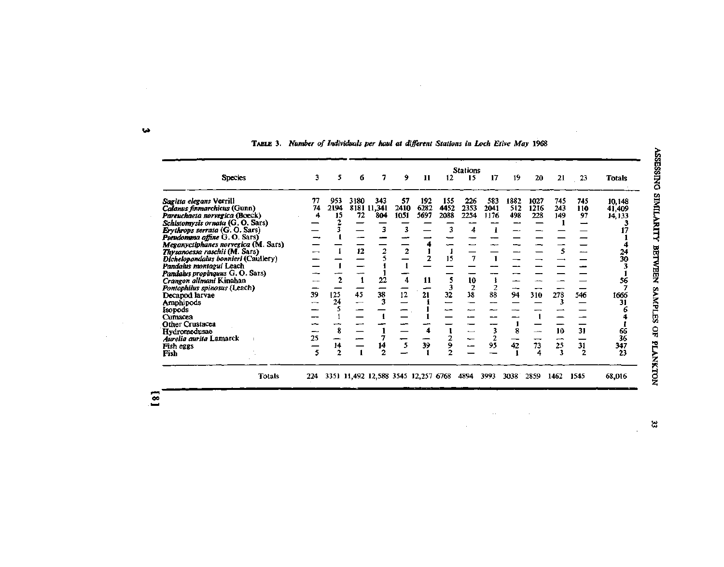|                                     |     |                | <b>Stations</b> |                                     |                |                |      |                |      |      |      |      |                |          |
|-------------------------------------|-----|----------------|-----------------|-------------------------------------|----------------|----------------|------|----------------|------|------|------|------|----------------|----------|
| <b>Species</b>                      | 3   | 5              | 6               | 7                                   | 9              | 11             | 12   | 15             | 17   | 19   | 20   | 21   | 23             | Totals   |
| Sagitta elegans Verrill             | 77  | 953            | 3180            | 343                                 | 57             | 192            | 155  | 226            | 583  | 1882 | 1027 | 745  | 745            | 10,148   |
| Calanus finmarchicus (Gunn)         | 74  | 2194           |                 | 8181 11,341                         | 2410           | 6282           | 4452 | 2353           | 2041 | 512  | 1216 | 243  | 110            | 41,409   |
| Pareuchaeta norvegica (Boeck)       | 4   | 15             | 72              | 804                                 | 1051           | 5697           | 2088 | 2254           | 1176 | 498  | 228  | 149  | 97             | 14,133   |
| Schistomysis ornata (G. O. Sars)    |     |                |                 |                                     |                |                |      |                |      |      |      |      |                |          |
| Erythrops serrata (G. O. Sars)      |     |                |                 | з                                   | 3              |                |      |                |      |      |      |      |                |          |
| Pseudomma affine G.O. Sars)         |     |                |                 |                                     |                |                |      |                |      |      |      |      |                |          |
| Meganyctiphanes norvegica (M. Sars) |     |                |                 |                                     |                |                |      |                |      |      |      |      |                |          |
| Thysanoessa raschii (M. Sars)       |     |                | 12              | 2                                   | $\overline{2}$ |                |      |                |      |      |      |      |                |          |
| Dichelopandalus bonnieri (Caullery) |     |                |                 |                                     |                | $\overline{2}$ | 15   | 7              |      |      |      |      |                | 24<br>30 |
| Pandalus montagui Leach             |     |                |                 |                                     |                |                |      |                |      |      |      |      |                |          |
| Pandalus propinguus G. O. Sars)     |     |                |                 |                                     |                |                |      |                |      |      |      |      |                |          |
| Crangon allmani Kinahan             |     | $\overline{2}$ | $\mathbf{1}$    | 22                                  | 4              | 11             | 5    | $\frac{10}{2}$ |      |      |      |      |                | 56       |
| Pontophilus spinosus (Leach)        |     |                |                 |                                     |                |                |      |                | 2    |      |      |      |                |          |
| Decapod larvae                      | 39  | 125            | 45              | 38                                  | 12             | 21             | 32   | 38             | 88   | 94   | 310  | 278  | 546            | 1666     |
| Amphipods                           |     | 24             |                 | 3                                   |                |                |      |                |      |      |      | 3    |                | 31       |
| Isopods                             |     | 5              |                 |                                     |                |                |      |                |      |      |      |      |                |          |
| Cumacea                             |     |                |                 |                                     |                |                |      |                |      |      |      |      |                |          |
| <b>Other Crustacea</b>              |     |                |                 |                                     |                |                |      |                |      |      |      |      |                |          |
| Hydromedusae                        |     | 8              |                 |                                     |                |                |      |                | 3    |      |      | 10   | 31             | 66       |
| <i>Aurelia aurita</i> Lamarck       | 25  |                |                 |                                     |                |                |      |                | 2    |      |      |      |                | 36       |
| Fish eggs                           |     | 14             |                 | 14                                  | 5              | 39             | 9    |                | 95   | 42   | 73   | 25   | 31             | 347      |
| Fish                                | 5   | $\overline{2}$ |                 | 2                                   |                |                |      |                |      |      | 4    | 3    | $\overline{2}$ | 23       |
|                                     |     |                |                 |                                     |                |                |      |                |      |      |      |      |                |          |
| <b>Totals</b>                       | 224 |                |                 | 3351 11,492 12,588 3545 12,257 6768 |                |                |      | 4894           | 3993 | 3038 | 2859 | 1462 | 1545           | 68,016   |

 $\sim$ 

 $\sim$ 

 $\sim$ 

**TABLE 3.** *Number of Individuals per haul at different Stations in Loch Etive May* **1968** 

 $\mathcal{L}$ 

 $\left[\begin{matrix}8\end{matrix}\right]$ 

 $\sim$ 

 $\mathbf{3}$ 

ASSESSING SIMILARITY BETWEEN SAMPLES OF PLANKTON

**M** 

 $\mathcal{A}^{\mathcal{A}}$ 

 $\bar{\gamma}$ 

 $\mathcal{A}$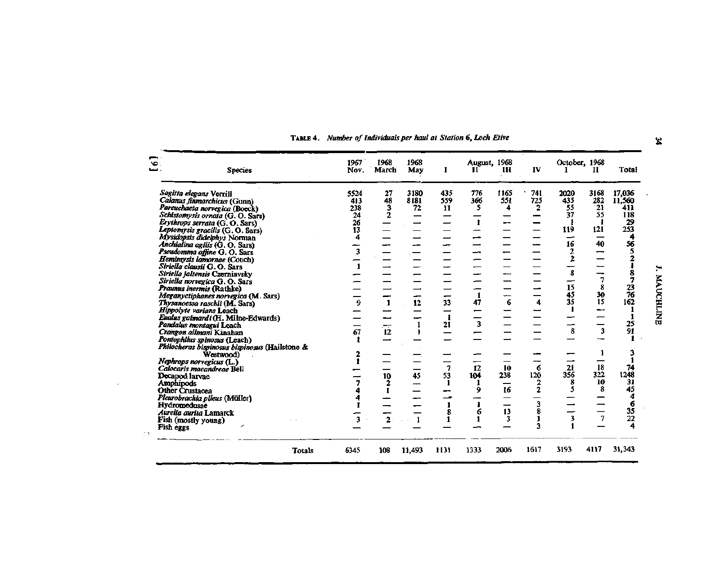| $\bullet$ :<br><b>Species</b><br>. فتشا               |        | 1967<br>Nov.            | 1968<br>March   | 1968<br>May | п    | August, 1968<br>п | ш       | IV             | October, 1968 | 11   | Total           |
|-------------------------------------------------------|--------|-------------------------|-----------------|-------------|------|-------------------|---------|----------------|---------------|------|-----------------|
| Sagitta elegans Verrill                               |        | 5524                    | 27              | 3180        | 435  | 776               | 1165    | 741            | 2020          | 3168 | 17,036          |
| Calanus finmarchicus (Gunn)                           |        | 413                     | 48              | 8181        | 559  | 366               | 551     | 725            | 435           | 282  | 11,560          |
| Pareuchaeta norvegica (Boeck)                         |        | 238                     | 3               | 72          | 11   | 5                 | 4       | 2              | 55            | 21   | 411             |
| Schistomysis ornata (G. O. Sars)                      |        | 24                      | 2               |             |      |                   |         |                | 37            | 55   | 118             |
| Erythrops serrata (G. O. Sars)                        |        | 26                      |                 |             |      | $\mathbf{r}$      |         |                |               | 1    | 29              |
| Leptomysis gracilis (G. O. Sars)                      |        | 13                      |                 |             |      |                   |         |                | 119           | 121  | 253             |
| Mysidopsis didelphys Norman                           |        | 4                       |                 |             |      |                   |         |                | --            |      | 4               |
| Anchialina agilis (G. O. Sars)                        |        |                         |                 |             |      |                   |         |                | 16            | 40   | 56              |
| Pseudomma affine G. O. Sars                           |        | $\overline{\mathbf{3}}$ |                 |             |      |                   |         |                | 2             | -    | 5               |
| Hemimysis lamornae (Couch)                            |        |                         |                 |             |      |                   |         |                | 2             |      |                 |
| Siriella clausii G.O. Sars                            |        |                         |                 |             |      |                   |         |                |               |      |                 |
| Siriella jaltensis Czerniavsky                        |        |                         |                 |             |      |                   |         |                | 8             | –    | 8               |
| Siriella norvegica G. O. Sars                         |        |                         |                 |             |      |                   |         |                |               | 7    |                 |
| Praunus inermis (Rathke)                              |        |                         |                 |             |      |                   |         |                | 15            | 8    | 23              |
| Meganyctiphanes norvegica (M. Sars)                   |        |                         |                 |             |      | 1                 |         |                | 45            | 30   | 76              |
| Thysanoessa raschii (M. Sars)                         |        | 9                       | $\mathbf{1}$    | 12          | 33   | 47                | 6       | 4              | 35            | 15   | 162             |
| Hippolyte varians Leach                               |        |                         |                 |             |      |                   |         |                | 1             | --   |                 |
| Eualus gaimardi (H. Milne-Edwards)                    |        |                         |                 |             | 1    |                   |         |                |               |      | $\mathbf{1}$    |
| Pandalus montagui Leach                               |        |                         |                 | 1           | 21   | 3                 |         |                |               |      |                 |
| Crangon allmani Kinahan                               |        | 67                      | $\overline{12}$ |             |      |                   |         |                | 8             | 3    | 25<br>91        |
|                                                       |        |                         |                 |             |      |                   |         |                |               |      |                 |
| Pontophilus spinosus (Leach)                          |        |                         |                 |             |      |                   |         |                |               |      |                 |
| Philocheras bispinosus bispinosus (Hailstone &        |        | 2                       |                 |             |      |                   |         |                |               | 1    |                 |
| Westwood)                                             |        |                         |                 |             |      |                   |         |                |               |      |                 |
| Nephrops norvegicus (L.)<br>Calocaris macandreae Bell |        |                         |                 |             | 7    | 12                | 10      | 6              | 21            | 18   | 74              |
|                                                       |        |                         |                 | 45          | 53   | 104               | 238     | 120            | 356           | 322  | 1248            |
| Decapod larvae                                        |        |                         | 10              |             |      |                   |         | 2              | 8             | 10   | 31              |
| Amphipods                                             |        |                         |                 |             |      | 9                 | —<br>16 | $\overline{2}$ | 5             | 8    | 45              |
| Other Crustacea                                       |        |                         |                 |             |      |                   |         |                |               |      | 4               |
| Pleurobrachia pileus (Müller)                         |        |                         |                 |             |      | 1                 |         | 3              |               |      | 6               |
| Hydromedusae                                          |        |                         |                 |             |      |                   | 13      | 8              |               |      | 35              |
| Aurelia aurita Lamarck                                |        |                         |                 |             | 8    | 6                 |         |                | 3             | 7    | $\overline{22}$ |
| Fish (mostly young)                                   |        | 3                       |                 |             |      | 1                 | 3       | 3              | 1             |      | 4               |
| Fish eggs                                             |        |                         |                 |             |      |                   |         |                |               |      |                 |
|                                                       | Totals | 6345                    | 108             | 11,493      | 1131 | 1333              | 2006    | 1617           | 3193          | 4117 | 31,343          |

 $\lambda$ 

**TABLE 4.** *Number of Individuals per haul at Station 6, Loch Etive* 

**O** 

**i**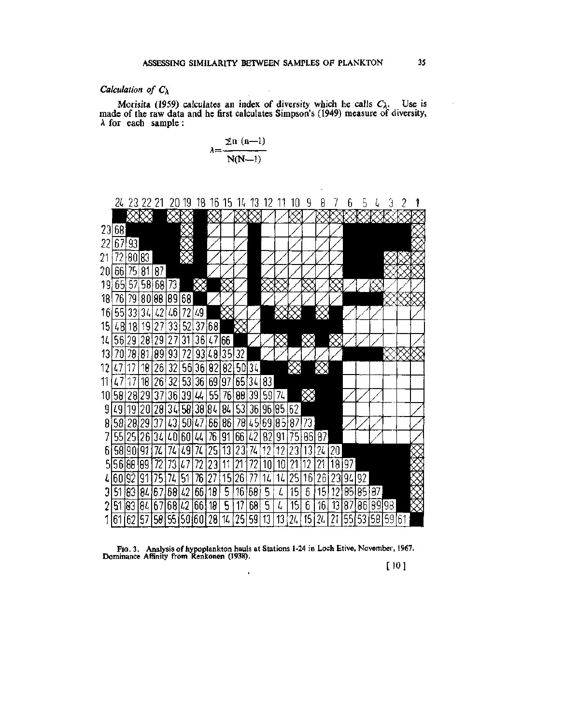# *Calculation of*  $C_{\lambda}$

Morisita (1959) calculates an index of diversity which he calls  $C_{\lambda}$ . Use is made of the raw data and he first calculates Simpson's (1949) measure of diversity,  $\lambda$  for each sample :

$$
\lambda = \frac{\sum n \ (n-1)}{N(N-1)}
$$



FIG. 3. Analysis of hypoplankton hauls at Stations 1-24 in Loch Etive, November, 1967. Dominance Affinity from Renkonen (1938).

[101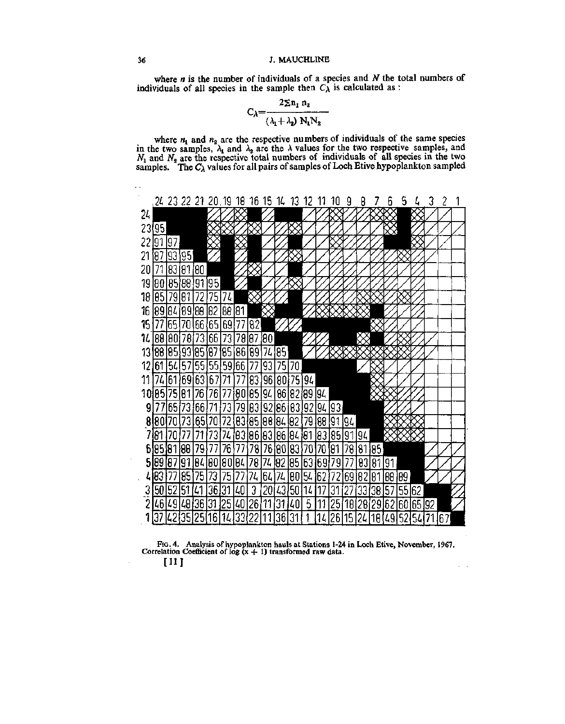where *n* is the number of individuals of a species and *N* the total numbers of individuals of all species in the sample then  $C_\lambda$  is calculated as :

$$
C_{\lambda} = \frac{2 \Sigma n_1 n_2}{(\lambda_1 + \lambda_2) N_1 N_2}
$$

where  $n_1$  and  $n_2$  are the respective numbers of individuals of the same species in the two samples,  $\lambda_1$  and  $\lambda_2$  are the  $\lambda$  values for the two respective samples, and *Ni* and *N^* are the respective total numbers of individuals of all species in the two samples. The  $C_{\lambda}$  values for all pairs of samples of Loch Etive hypoplankton sampled



FIG. 4. Analysis of hypoplankton hauls at Stations 1-24 in Loch Etive, November, 1967.<br>Correlation Coefficient of log  $(x + 1)$  transformed raw data.

 $\alpha = 0.1$ 

[11]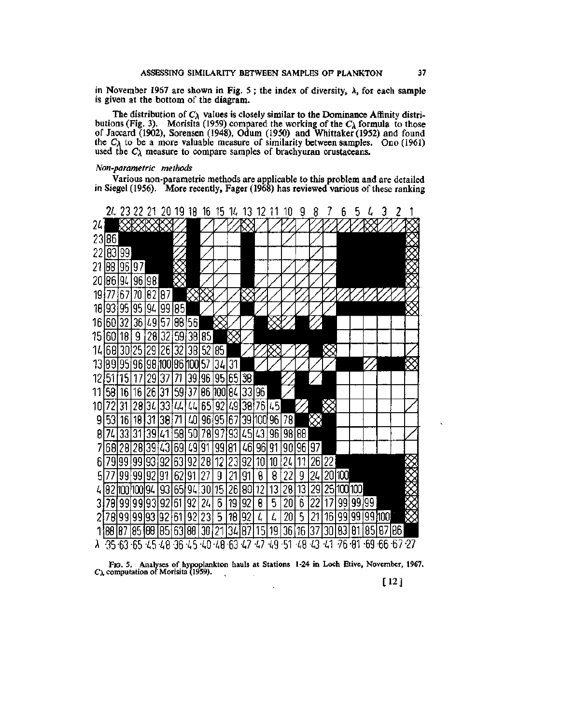in November 1967 are shown in Fig. 5; the index of diversity,  $\lambda$ , for each sample is given at the bottom of the diagram.

The distribution of *C\* values is closely similar to the Dominance Affinity distributions (Fig. 3). Morisita (1959) compared the working of the  $C_\lambda$  formula to those of Jaccard (1902), Sorensen (1948), Odum (1950) and Whittaker (1952) and found the  $C_{\lambda}$  to be a more valuable measure of similarity between samples. Ono (1961) used the *C\* measure to compare samples of brachyuran crustaceans.

## *Non-parametric methods*

Various non-parametric methods are applicable to this problem and are detailed in Siegel (1956). More recently, Fager (1968) has reviewed various of these ranking



FIG. 5. Analyses of hypoplankton hauls at Stations 1-24 in Loch Etive, November, 1967. *Cx* computation of Morisita (1959).

[12]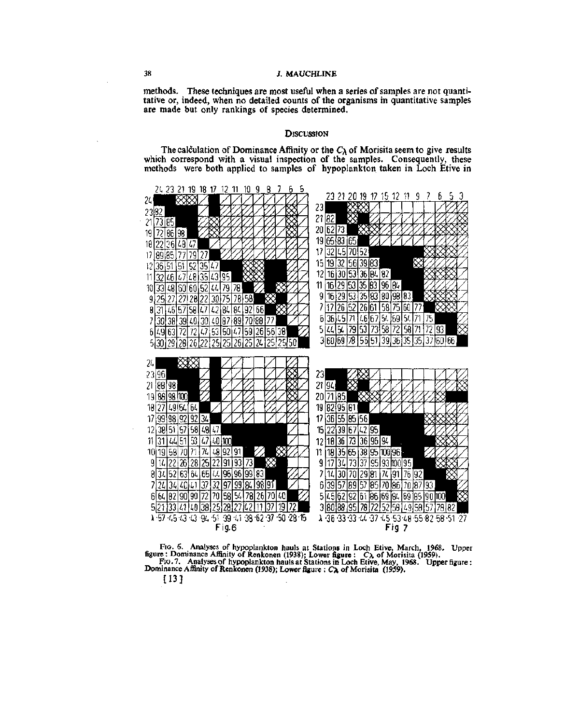# **38 J. MAUCHLINE**

methods. These techniques are most useful when a series of samples are not quantitative or, indeed, when no detailed counts of the organisms in quantitative samples are made but only rankings of species determined.

## **DISCUSSION**

The calculation of Dominance Affinity or the  $C_\lambda$  of Morisita seem to give results which correspond with a visual inspection of the samples. Consequently, these methods were both applied to samples of hypoplankton taken in Loch Etive in



FIG. 6. Analyses of hypoplankton hauls at Stations in Loch Etive, March, 1968. Upper figure : Dominance Affinity of Renkonen (1938); Lower figure : *C\* of Morisita (1959). FIG. 7. Analyses of hypoplankton hauls at Stations in Loch Etive, May, 1968. **Upper** figure: Dominance Affinity **of Renkonen (1938); Lower figure : Cx of Morisita (1959).** 

[13]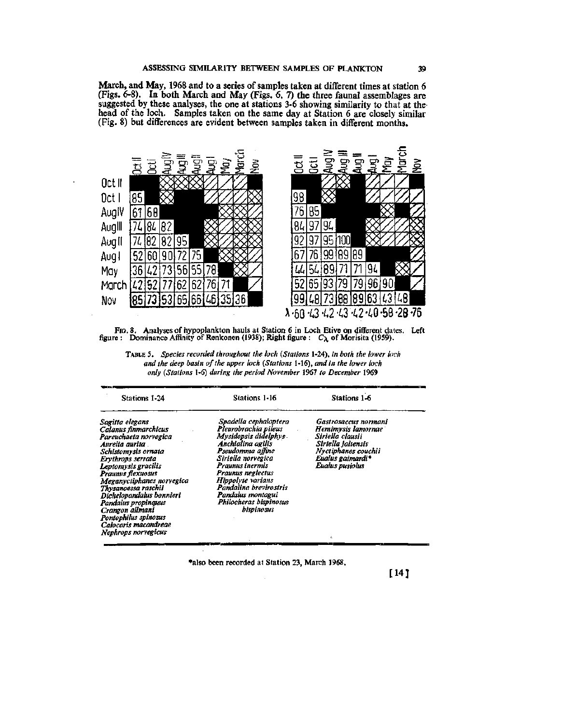March, and May, 1968 and to a series of samples taken at different times at station 6 (Figs. 6-8). In both March and May (Figs. 6, 7) the three faunal assemblages are suggested by these analyses, the one at stations 3-6 showing similarity to that at the head of the loch. Samples taken on the same day at Station 6 are closely similar (Fig. 8) but differences are evident between samples taken in different months.





| <b>Stations 1-24</b>                                                                                                                                                                                                                                                                                                                                   | Stations 1-16                                                                                                                                                                                                                                                                                     | Stations 1-6                                                                                                                                       |
|--------------------------------------------------------------------------------------------------------------------------------------------------------------------------------------------------------------------------------------------------------------------------------------------------------------------------------------------------------|---------------------------------------------------------------------------------------------------------------------------------------------------------------------------------------------------------------------------------------------------------------------------------------------------|----------------------------------------------------------------------------------------------------------------------------------------------------|
| Sagitta elegans<br>Calanus finmarchicus<br>Pareuchaeta norvegica<br>Aurelia aurita .<br>Schistomysis ornata<br>Erythrops serrata<br>Leptomysts gracilis<br>Praunus flexuosus<br>Meganyctiphanes norvegica<br>Thysanoessa raschii<br>Dichelopandalus bonnieri<br>Pandalus propinguus<br>Crangon allmani<br>Pontophilus spinosus<br>Calocaris macandreae | Spadella cephaloptera<br>Pleurobrachia pileus<br>Mysidopsis didelphys .<br>Anchialina agilis<br>Pseudomma affine<br>Siriella norvegica<br>Praunus inermis<br>Praunus neglectus<br>Hippolyte varians<br>Pandalina brevirostris<br>Pandalus montagui<br>Philocheras bispinosus<br><b>bispinosus</b> | Gastrosaccus normani<br>Hemimysis lamornae<br>Siriella clausii<br>Striella jaltensis<br>Nvetiphanes couchii<br>Eualus gaimardi*<br>Eualus pusiolus |

TABLE 5. *Species recorded throughout the loch {Stations* 1-24), *in both the lower loch and the deep basin of the upper loch {Stations* 1-16), *and in the lower loch only {Stations* 1-6) *during the period November* 1967 *to December* 1969

•also been recorded at Station 23, March 1968,

*Nephrops nonegicus* 

[14 J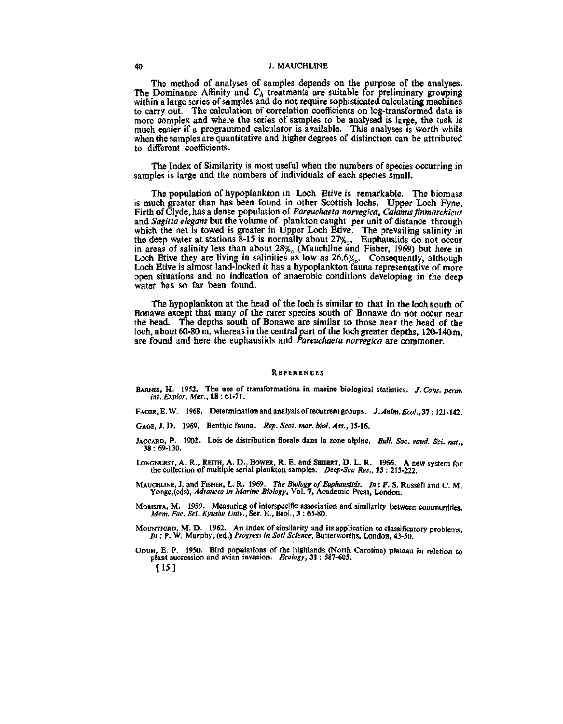## 40 J. MAUCHLINE

The method of analyses of samples depends on the purpose of the analyses. The Dominance Affinity and  $C_{\lambda}$  treatments are suitable for preliminary grouping within a large series of samples and do not require sophisticated calculating machines to carry out. The calculation of correlation coefficients on log-transformed data is more complex and where the series of samples to be analysed is large, the task is much easier if a programmed calculator is available. This analyses is worth while when the samples are quantitative and higher degrees of distinction can be attributed to different coefficients.

The Index of Similarity is most useful when the numbers of species occurring in samples is large and the numbers of individuals of each species small.

The population of hypoplankton in Loch Etive is remarkable. The biomass is much greater than has been found in other Scottish lochs. Upper Loch Fyne, Firth of Clyde, has a dense population of *Pareuchaeta norvegica*, *Calanus finmarchicus* and Sagitta elegans but the volume of plankton caught per unit of distance through which the net is towed is greater in Upper Loch Etive. The prevailing salinity in the deep water at stations  $8-15$  is normally about  $27\%$ . Euphausiids do not occur in areas of salinity less than about 28% (Mauchline and Fisher, 1969) but here in Loch Etive they are living in salinities as low as  $26.6\%$ . Consequently, although Loch Etive is almost land-locked it has a hypoplankton fauna representative of more open situations and no indication of anaerobic conditions developing in the deep water has so far been found.

The hypoplankton at the head of the loch is similar to that in the loch south of Bonawe except that many of the rarer species south of Bonawe do not occur near the head. The depths south of Bonawe are similar to those near the head of the loch, about 60-80 m, whereas in the central part of the loch greater depths, 120-140 m, are found and here the euphausiids and *Pareuchaeta norvegica* are commoner.

#### **REFERENCES**

- BARNES, H. 1952. The use of transformations in marine biological statistics. J. Cons. perm. *int. Explor. Mer.,* 18 : 61-71.
- FAGER, E.W. 1968. Determination and analysis of recurrent groups. *J. Anim. Ecol.*, 37:121-142.
- GAGE, J. D. 1969. Benthic fauna. *Rep. Scot. mar. biol. Ass., 15-16.*
- JACCARD, P. 1902. Lois de distribution florale dans la zone alpine. *Bull. Soc. vaud. Sci. mt.,*  38: 69-130.
- LONGHURST, A. R., REITH, A. D., BOWER, R. E. and SEIBERT, D. L. R. 1966. A new system for the collection of multiple serial plankton samples. *Deep-Sea Res.,* 13 : 213-222.
- MAUCHLINE, J. and FISHER, L. R. 1969. *The Biology of Euphausiids. In:* F. S. Russell and C. M. Yonge,(eds), *Advances in Marine Biology,* Vol. 7, Academic Press, London.
- Mortstra, M. 1959. Measuring of interspecific association and similarity between communities. *Mem. Fac. Sci. Kyushu Univ.,* Ser. E., Biol., 3 : 65-80.
- MOUNTFORD, M. D. 1962. An index of similarity and its application to classificatory problems. *In :* P. W. Murphy, (ed.) *Progress in Soil Science,* Butterworths, London, 43-50.
- ODUM, E. P. 1950. Bird populations of the highlands (North Carolina) plateau in relation to plant succession and avian invasion. *Ecology,* 31 : 587-605. [15 ]